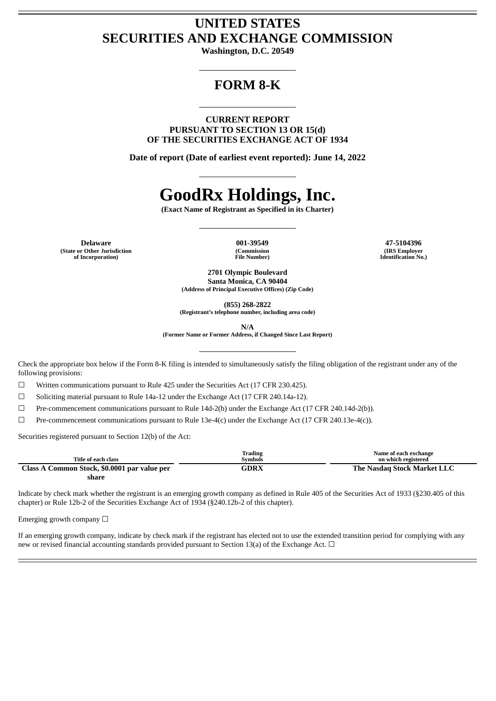## **UNITED STATES SECURITIES AND EXCHANGE COMMISSION**

**Washington, D.C. 20549**

# **FORM 8-K**

**CURRENT REPORT PURSUANT TO SECTION 13 OR 15(d) OF THE SECURITIES EXCHANGE ACT OF 1934**

**Date of report (Date of earliest event reported): June 14, 2022**

# **GoodRx Holdings, Inc.**

**(Exact Name of Registrant as Specified in its Charter)**

**Delaware 001-39549 47-5104396 (State or Other Jurisdiction of Incorporation)**

**(Commission File Number)**

**(IRS Employer Identification No.)**

**2701 Olympic Boulevard Santa Monica, CA 90404 (Address of Principal Executive Offices) (Zip Code)**

**(855) 268-2822**

**(Registrant's telephone number, including area code)**

**N/A**

**(Former Name or Former Address, if Changed Since Last Report)**

Check the appropriate box below if the Form 8-K filing is intended to simultaneously satisfy the filing obligation of the registrant under any of the following provisions:

☐ Written communications pursuant to Rule 425 under the Securities Act (17 CFR 230.425).

 $\Box$  Soliciting material pursuant to Rule 14a-12 under the Exchange Act (17 CFR 240.14a-12).

☐ Pre-commencement communications pursuant to Rule 14d-2(b) under the Exchange Act (17 CFR 240.14d-2(b)).

 $\Box$  Pre-commencement communications pursuant to Rule 13e-4(c) under the Exchange Act (17 CFR 240.13e-4(c)).

Securities registered pursuant to Section 12(b) of the Act:

|                                              | Trading        | Name of each exchange       |
|----------------------------------------------|----------------|-----------------------------|
| Title of each class                          | <b>Symbols</b> | on which registered         |
| Class A Common Stock, \$0.0001 par value per | GDRX           | The Nasdag Stock Market LLC |
| share                                        |                |                             |

Indicate by check mark whether the registrant is an emerging growth company as defined in Rule 405 of the Securities Act of 1933 (§230.405 of this chapter) or Rule 12b-2 of the Securities Exchange Act of 1934 (§240.12b-2 of this chapter).

Emerging growth company  $\Box$ 

If an emerging growth company, indicate by check mark if the registrant has elected not to use the extended transition period for complying with any new or revised financial accounting standards provided pursuant to Section 13(a) of the Exchange Act.  $\Box$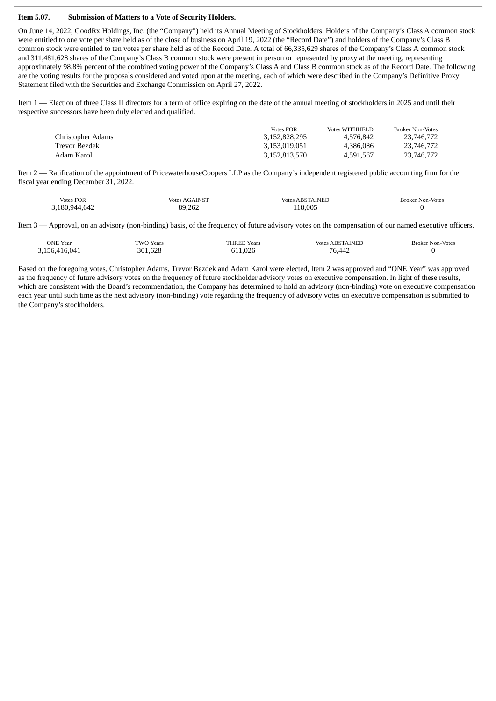#### **Item 5.07. Submission of Matters to a Vote of Security Holders.**

On June 14, 2022, GoodRx Holdings, Inc. (the "Company") held its Annual Meeting of Stockholders. Holders of the Company's Class A common stock were entitled to one vote per share held as of the close of business on April 19, 2022 (the "Record Date") and holders of the Company's Class B common stock were entitled to ten votes per share held as of the Record Date. A total of 66,335,629 shares of the Company's Class A common stock and 311,481,628 shares of the Company's Class B common stock were present in person or represented by proxy at the meeting, representing approximately 98.8% percent of the combined voting power of the Company's Class A and Class B common stock as of the Record Date. The following are the voting results for the proposals considered and voted upon at the meeting, each of which were described in the Company's Definitive Proxy Statement filed with the Securities and Exchange Commission on April 27, 2022.

Item 1 — Election of three Class II directors for a term of office expiring on the date of the annual meeting of stockholders in 2025 and until their respective successors have been duly elected and qualified.

|                   | <b>Votes FOR</b> | Votes WITHHELD | <b>Broker Non-Votes</b> |
|-------------------|------------------|----------------|-------------------------|
| Christopher Adams | 3,152,828,295    | 4.576.842      | 23,746,772              |
| Trevor Bezdek     | 3,153,019,051    | 4.386.086      | 23,746,772              |
| Adam Karol        | 3,152,813,570    | 4.591.567      | 23,746,772              |

Item 2 — Ratification of the appointment of PricewaterhouseCoopers LLP as the Company's independent registered public accounting firm for the fiscal year ending December 31, 2022.

| <b>Votes FOR</b><br>$\cdots$ | <b>AINS"</b><br>$  -$<br>votes<br>. <b>A</b> | "AINE.<br>$\cdots$<br>Motor.<br>$\begin{array}{ccc} \multicolumn{3}{c} {\color{black}} & \multicolumn{3}{c} {\color{black}} & \multicolumn{3}{c} {\color{black}} \end{array} \end{array} \qquad \qquad \begin{array}{ccc} \multicolumn{3}{c} {\color{black}} & \multicolumn{3}{c} {\color{black}} \end{array} \qquad \qquad \begin{array}{ccc} \multicolumn{3}{c} {\color{black}} & \multicolumn{3}{c} {\color{black}} \end{array} \qquad \qquad \begin{array}{ccc} \multicolumn{3}{c} {\color{black}} & \multicolumn{3}{c} {\color{black}} \end{array} \qquad \qquad \begin{array}{ccc} \multicolumn{$ | Broker Non-Votes<br>. |
|------------------------------|----------------------------------------------|---------------------------------------------------------------------------------------------------------------------------------------------------------------------------------------------------------------------------------------------------------------------------------------------------------------------------------------------------------------------------------------------------------------------------------------------------------------------------------------------------------------------------------------------------------------------------------------------------------|-----------------------|
| 3,180,944<br>ے4ס             | 89 262                                       | $\Omega$<br>ט ו                                                                                                                                                                                                                                                                                                                                                                                                                                                                                                                                                                                         |                       |

Item 3 — Approval, on an advisory (non-binding) basis, of the frequency of future advisory votes on the compensation of our named executive officers.

| ONE.<br>Year         | ٦A<br>Years<br>. | $\sim$<br>RFI<br>Years<br>$\sim$ $\sim$ $\sim$ | DС<br>IN.<br>votes   | Votes<br>sroke:<br>$\sim$ N <sub>l</sub> $\sim$ r <sup>1</sup> |
|----------------------|------------------|------------------------------------------------|----------------------|----------------------------------------------------------------|
| l 171<br>5h<br>ن و ب | 628<br>۹Λ        |                                                | $\prime\prime\prime$ |                                                                |

Based on the foregoing votes, Christopher Adams, Trevor Bezdek and Adam Karol were elected, Item 2 was approved and "ONE Year" was approved as the frequency of future advisory votes on the frequency of future stockholder advisory votes on executive compensation. In light of these results, which are consistent with the Board's recommendation, the Company has determined to hold an advisory (non-binding) vote on executive compensation each year until such time as the next advisory (non-binding) vote regarding the frequency of advisory votes on executive compensation is submitted to the Company's stockholders.